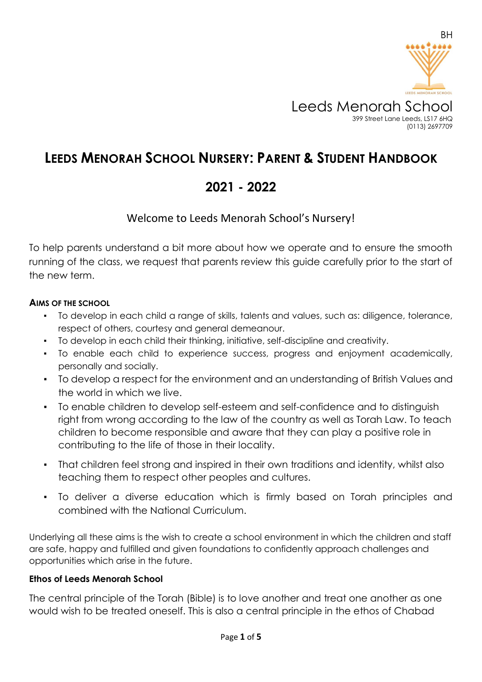

# **LEEDS MENORAH SCHOOL NURSERY: PARENT & STUDENT HANDBOOK**

# **2021 - 2022**

## Welcome to Leeds Menorah School's Nursery!

To help parents understand a bit more about how we operate and to ensure the smooth running of the class, we request that parents review this guide carefully prior to the start of the new term.

## **AIMS OF THE SCHOOL**

- To develop in each child a range of skills, talents and values, such as: diligence, tolerance, respect of others, courtesy and general demeanour.
- To develop in each child their thinking, initiative, self-discipline and creativity.
- To enable each child to experience success, progress and enjoyment academically, personally and socially.
- To develop a respect for the environment and an understanding of British Values and the world in which we live.
- To enable children to develop self-esteem and self-confidence and to distinguish right from wrong according to the law of the country as well as Torah Law. To teach children to become responsible and aware that they can play a positive role in contributing to the life of those in their locality.
- That children feel strong and inspired in their own traditions and identity, whilst also teaching them to respect other peoples and cultures.
- To deliver a diverse education which is firmly based on Torah principles and combined with the National Curriculum.

Underlying all these aims is the wish to create a school environment in which the children and staff are safe, happy and fulfilled and given foundations to confidently approach challenges and opportunities which arise in the future.

#### **Ethos of Leeds Menorah School**

The central principle of the Torah (Bible) is to love another and treat one another as one would wish to be treated oneself. This is also a central principle in the ethos of Chabad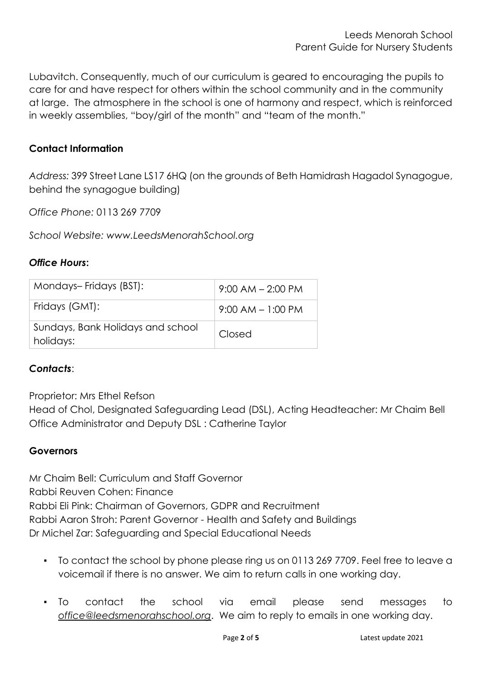Lubavitch. Consequently, much of our curriculum is geared to encouraging the pupils to care for and have respect for others within the school community and in the community at large. The atmosphere in the school is one of harmony and respect, which is reinforced in weekly assemblies, "boy/girl of the month" and "team of the month."

## **Contact Information**

*Address:* 399 Street Lane LS17 6HQ (on the grounds of Beth Hamidrash Hagadol Synagogue, behind the synagogue building)

*Office Phone:* 0113 269 7709

*School Website: www.LeedsMenorahSchool.org*

## *Office Hours***:**

| Mondays-Fridays (BST):                         | $9:00$ AM $- 2:00$ PM |
|------------------------------------------------|-----------------------|
| Fridays (GMT):                                 | $9:00$ AM $-1:00$ PM  |
| Sundays, Bank Holidays and school<br>holidays: | Closed                |

## *Contacts*:

Proprietor: Mrs Ethel Refson

Head of Chol, Designated Safeguarding Lead (DSL), Acting Headteacher: Mr Chaim Bell Office Administrator and Deputy DSL : Catherine Taylor

## **Governors**

Mr Chaim Bell: Curriculum and Staff Governor Rabbi Reuven Cohen: Finance Rabbi Eli Pink: Chairman of Governors, GDPR and Recruitment Rabbi Aaron Stroh: Parent Governor - Health and Safety and Buildings Dr Michel Zar: Safeguarding and Special Educational Needs

- To contact the school by phone please ring us on 0113 269 7709. Feel free to leave a voicemail if there is no answer. We aim to return calls in one working day.
- To contact the school via email please send messages to *office@leedsmenorahschool.org*. We aim to reply to emails in one working day.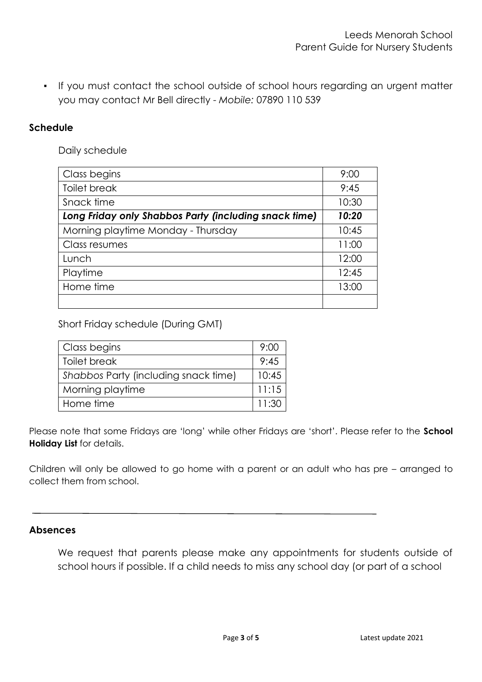▪ If you must contact the school outside of school hours regarding an urgent matter you may contact Mr Bell directly - *Mobile:* 07890 110 539

## **Schedule**

Daily schedule

| Class begins                                          | 9:00  |
|-------------------------------------------------------|-------|
| Toilet break                                          | 9:45  |
| Snack time                                            | 10:30 |
| Long Friday only Shabbos Party (including snack time) | 10:20 |
| Morning playtime Monday - Thursday                    | 10:45 |
| Class resumes                                         | 11:00 |
| Lunch                                                 | 12:00 |
| Playtime                                              | 12:45 |
| Home time                                             | 13:00 |
|                                                       |       |

Short Friday schedule (During GMT)

| Class begins                         | 9:00  |
|--------------------------------------|-------|
| <b>Toilet break</b>                  | 9:45  |
| Shabbos Party (including snack time) |       |
| Morning playtime                     | 11:15 |
| Home time                            | 11:30 |

Please note that some Fridays are 'long' while other Fridays are 'short'. Please refer to the **School Holiday List** for details.

Children will only be allowed to go home with a parent or an adult who has pre – arranged to collect them from school.

#### **Absences**

We request that parents please make any appointments for students outside of school hours if possible. If a child needs to miss any school day (or part of a school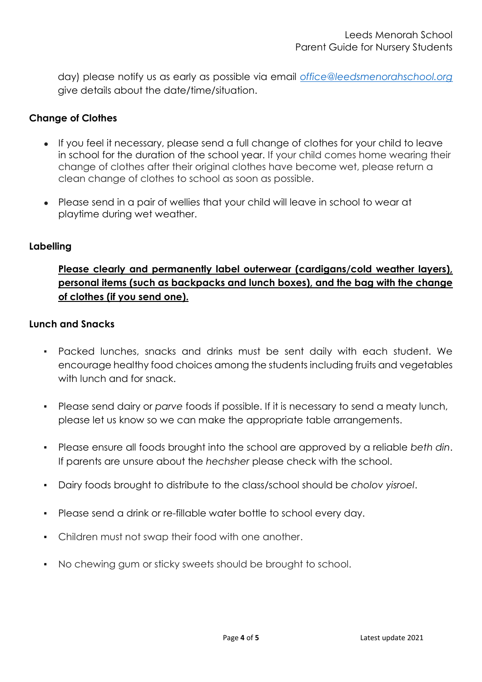day) please notify us as early as possible via email *[office@leedsmenorahschool.org](mailto:office@leedsmenorahschool.org)* give details about the date/time/situation.

## **Change of Clothes**

- If you feel it necessary, please send a full change of clothes for your child to leave in school for the duration of the school year. If your child comes home wearing their change of clothes after their original clothes have become wet, please return a clean change of clothes to school as soon as possible.
- Please send in a pair of wellies that your child will leave in school to wear at playtime during wet weather.

## **Labelling**

## **Please clearly and permanently label outerwear (cardigans/cold weather layers), personal items (such as backpacks and lunch boxes), and the bag with the change of clothes (if you send one).**

## **Lunch and Snacks**

- Packed lunches, snacks and drinks must be sent daily with each student. We encourage healthy food choices among the students including fruits and vegetables with lunch and for snack.
- Please send dairy or *parve* foods if possible. If it is necessary to send a meaty lunch, please let us know so we can make the appropriate table arrangements.
- Please ensure all foods brought into the school are approved by a reliable *beth din*. If parents are unsure about the *hechsher* please check with the school.
- Dairy foods brought to distribute to the class/school should be *cholov yisroel*.
- Please send a drink or re-fillable water bottle to school every day.
- Children must not swap their food with one another.
- No chewing gum or sticky sweets should be brought to school.